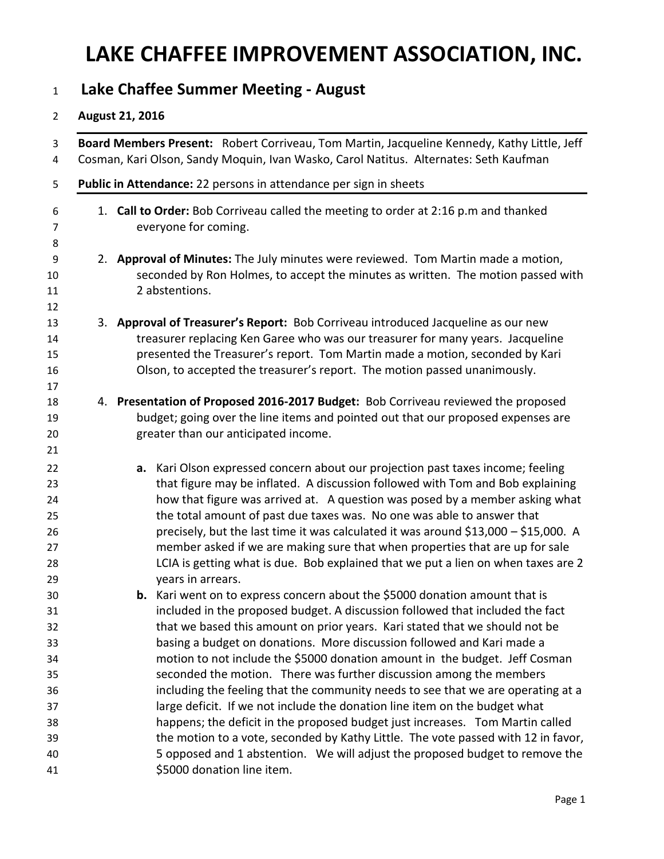### **LAKE CHAFFEE IMPROVEMENT ASSOCIATION, INC.**

#### **Lake Chaffee Summer Meeting - August**

#### **August 21, 2016**

| 3<br>4                                       | Board Members Present: Robert Corriveau, Tom Martin, Jacqueline Kennedy, Kathy Little, Jeff<br>Cosman, Kari Olson, Sandy Moquin, Ivan Wasko, Carol Natitus. Alternates: Seth Kaufman                                                                                                                                                                                                                                                                                                                                                                                                                         |
|----------------------------------------------|--------------------------------------------------------------------------------------------------------------------------------------------------------------------------------------------------------------------------------------------------------------------------------------------------------------------------------------------------------------------------------------------------------------------------------------------------------------------------------------------------------------------------------------------------------------------------------------------------------------|
| 5                                            | Public in Attendance: 22 persons in attendance per sign in sheets                                                                                                                                                                                                                                                                                                                                                                                                                                                                                                                                            |
| 6<br>7<br>8                                  | 1. Call to Order: Bob Corriveau called the meeting to order at 2:16 p.m and thanked<br>everyone for coming.                                                                                                                                                                                                                                                                                                                                                                                                                                                                                                  |
| 9<br>10<br>11<br>12                          | 2. Approval of Minutes: The July minutes were reviewed. Tom Martin made a motion,<br>seconded by Ron Holmes, to accept the minutes as written. The motion passed with<br>2 abstentions.                                                                                                                                                                                                                                                                                                                                                                                                                      |
| 13<br>14<br>15<br>16<br>17                   | 3. Approval of Treasurer's Report: Bob Corriveau introduced Jacqueline as our new<br>treasurer replacing Ken Garee who was our treasurer for many years. Jacqueline<br>presented the Treasurer's report. Tom Martin made a motion, seconded by Kari<br>Olson, to accepted the treasurer's report. The motion passed unanimously.                                                                                                                                                                                                                                                                             |
| 18<br>19<br>20<br>21                         | 4. Presentation of Proposed 2016-2017 Budget: Bob Corriveau reviewed the proposed<br>budget; going over the line items and pointed out that our proposed expenses are<br>greater than our anticipated income.                                                                                                                                                                                                                                                                                                                                                                                                |
| 22<br>23<br>24<br>25<br>26<br>27<br>28<br>29 | a. Kari Olson expressed concern about our projection past taxes income; feeling<br>that figure may be inflated. A discussion followed with Tom and Bob explaining<br>how that figure was arrived at. A question was posed by a member asking what<br>the total amount of past due taxes was. No one was able to answer that<br>precisely, but the last time it was calculated it was around \$13,000 - \$15,000. A<br>member asked if we are making sure that when properties that are up for sale<br>LCIA is getting what is due. Bob explained that we put a lien on when taxes are 2<br>years in arrears. |
| 30<br>31<br>32<br>33<br>34<br>35<br>36       | <b>b.</b> Kari went on to express concern about the \$5000 donation amount that is<br>included in the proposed budget. A discussion followed that included the fact<br>that we based this amount on prior years. Kari stated that we should not be<br>basing a budget on donations. More discussion followed and Kari made a<br>motion to not include the \$5000 donation amount in the budget. Jeff Cosman<br>seconded the motion. There was further discussion among the members<br>including the feeling that the community needs to see that we are operating at a                                       |
| 37<br>38<br>39<br>40<br>41                   | large deficit. If we not include the donation line item on the budget what<br>happens; the deficit in the proposed budget just increases. Tom Martin called<br>the motion to a vote, seconded by Kathy Little. The vote passed with 12 in favor,<br>5 opposed and 1 abstention. We will adjust the proposed budget to remove the<br>\$5000 donation line item.                                                                                                                                                                                                                                               |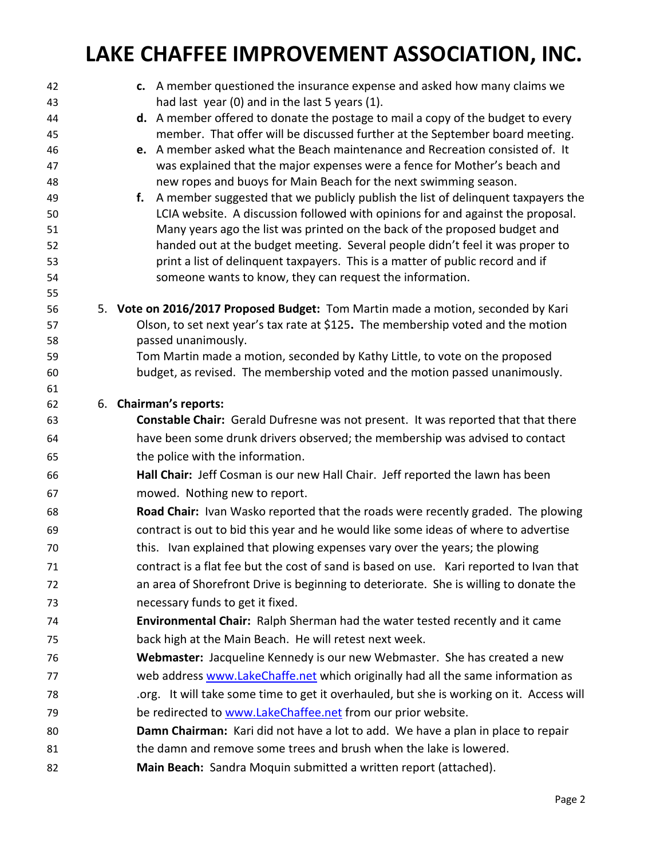## **LAKE CHAFFEE IMPROVEMENT ASSOCIATION, INC.**

| 42       | c. A member questioned the insurance expense and asked how many claims we                                                                                       |
|----------|-----------------------------------------------------------------------------------------------------------------------------------------------------------------|
| 43       | had last year (0) and in the last 5 years (1).                                                                                                                  |
| 44       | d. A member offered to donate the postage to mail a copy of the budget to every<br>member. That offer will be discussed further at the September board meeting. |
| 45<br>46 | e. A member asked what the Beach maintenance and Recreation consisted of. It                                                                                    |
| 47       | was explained that the major expenses were a fence for Mother's beach and                                                                                       |
| 48       | new ropes and buoys for Main Beach for the next swimming season.                                                                                                |
| 49       | f. A member suggested that we publicly publish the list of delinquent taxpayers the                                                                             |
| 50       | LCIA website. A discussion followed with opinions for and against the proposal.                                                                                 |
| 51       | Many years ago the list was printed on the back of the proposed budget and                                                                                      |
| 52       | handed out at the budget meeting. Several people didn't feel it was proper to                                                                                   |
| 53       | print a list of delinquent taxpayers. This is a matter of public record and if                                                                                  |
| 54       | someone wants to know, they can request the information.                                                                                                        |
| 55       |                                                                                                                                                                 |
| 56       | 5. Vote on 2016/2017 Proposed Budget: Tom Martin made a motion, seconded by Kari                                                                                |
| 57       | Olson, to set next year's tax rate at \$125. The membership voted and the motion                                                                                |
| 58       | passed unanimously.                                                                                                                                             |
| 59<br>60 | Tom Martin made a motion, seconded by Kathy Little, to vote on the proposed<br>budget, as revised. The membership voted and the motion passed unanimously.      |
| 61       |                                                                                                                                                                 |
| 62       | 6. Chairman's reports:                                                                                                                                          |
| 63       | Constable Chair: Gerald Dufresne was not present. It was reported that that there                                                                               |
| 64       | have been some drunk drivers observed; the membership was advised to contact                                                                                    |
| 65       | the police with the information.                                                                                                                                |
| 66       | Hall Chair: Jeff Cosman is our new Hall Chair. Jeff reported the lawn has been                                                                                  |
| 67       | mowed. Nothing new to report.                                                                                                                                   |
| 68       | Road Chair: Ivan Wasko reported that the roads were recently graded. The plowing                                                                                |
| 69       | contract is out to bid this year and he would like some ideas of where to advertise                                                                             |
| 70       | this. Ivan explained that plowing expenses vary over the years; the plowing                                                                                     |
| 71       | contract is a flat fee but the cost of sand is based on use. Kari reported to Ivan that                                                                         |
| 72       | an area of Shorefront Drive is beginning to deteriorate. She is willing to donate the                                                                           |
| 73       | necessary funds to get it fixed.                                                                                                                                |
| 74       | Environmental Chair: Ralph Sherman had the water tested recently and it came                                                                                    |
| 75       | back high at the Main Beach. He will retest next week.                                                                                                          |
| 76       | Webmaster: Jacqueline Kennedy is our new Webmaster. She has created a new                                                                                       |
| 77       | web address www.LakeChaffe.net which originally had all the same information as                                                                                 |
| 78       | .org. It will take some time to get it overhauled, but she is working on it. Access will                                                                        |
| 79       | be redirected to www.LakeChaffee.net from our prior website.                                                                                                    |
| 80       | Damn Chairman: Kari did not have a lot to add. We have a plan in place to repair                                                                                |
| 81       | the damn and remove some trees and brush when the lake is lowered.                                                                                              |
| 82       | Main Beach: Sandra Moquin submitted a written report (attached).                                                                                                |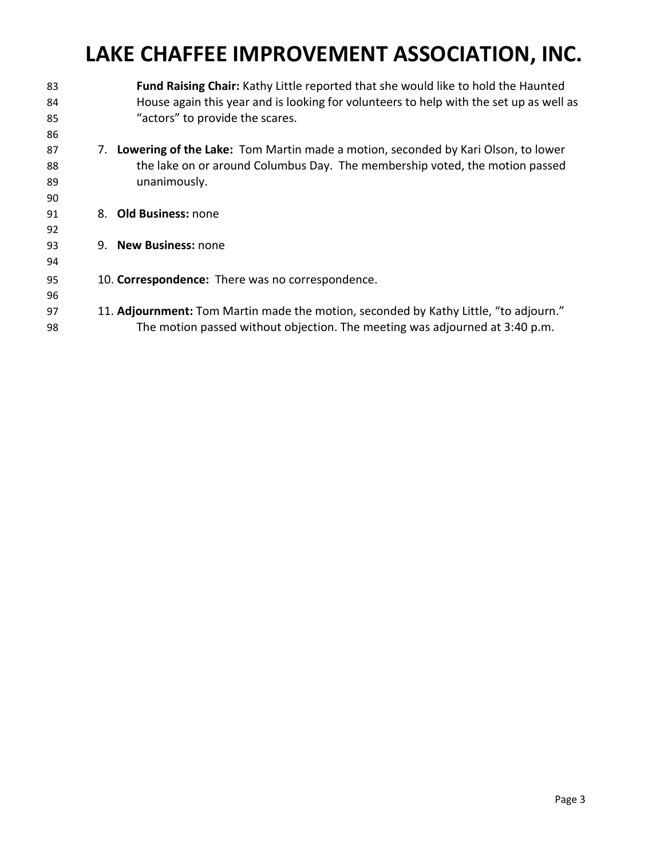# **LAKE CHAFFEE IMPROVEMENT ASSOCIATION, INC.**

| 83 |                                                  | <b>Fund Raising Chair:</b> Kathy Little reported that she would like to hold the Haunted |
|----|--------------------------------------------------|------------------------------------------------------------------------------------------|
| 84 |                                                  | House again this year and is looking for volunteers to help with the set up as well as   |
| 85 |                                                  | "actors" to provide the scares.                                                          |
| 86 |                                                  |                                                                                          |
| 87 |                                                  | 7. Lowering of the Lake: Tom Martin made a motion, seconded by Kari Olson, to lower      |
| 88 |                                                  | the lake on or around Columbus Day. The membership voted, the motion passed              |
| 89 |                                                  | unanimously.                                                                             |
| 90 |                                                  |                                                                                          |
| 91 |                                                  | 8. Old Business: none                                                                    |
| 92 |                                                  |                                                                                          |
| 93 |                                                  | 9. New Business: none                                                                    |
| 94 |                                                  |                                                                                          |
| 95 | 10. Correspondence: There was no correspondence. |                                                                                          |
| 96 |                                                  |                                                                                          |
|    |                                                  | 11. Adjournment: Tom Martin made the motion, seconded by Kathy Little, "to adjourn."     |
| 97 |                                                  |                                                                                          |
| 98 |                                                  | The motion passed without objection. The meeting was adjourned at 3:40 p.m.              |
|    |                                                  |                                                                                          |